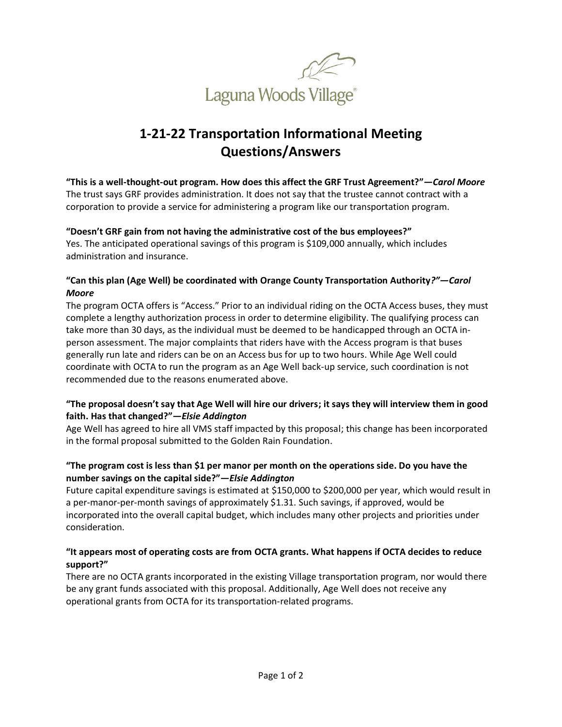

# **1-21-22 Transportation Informational Meeting Questions/Answers**

**"This is a well-thought-out program. How does this affect the GRF Trust Agreement?"***—Carol Moore* The trust says GRF provides administration. It does not say that the trustee cannot contract with a corporation to provide a service for administering a program like our transportation program.

#### **"Doesn't GRF gain from not having the administrative cost of the bus employees?"**

Yes. The anticipated operational savings of this program is \$109,000 annually, which includes administration and insurance.

#### **"Can this plan (Age Well) be coordinated with Orange County Transportation Authority***?"—Carol Moore*

The program OCTA offers is "Access." Prior to an individual riding on the OCTA Access buses, they must complete a lengthy authorization process in order to determine eligibility. The qualifying process can take more than 30 days, as the individual must be deemed to be handicapped through an OCTA inperson assessment. The major complaints that riders have with the Access program is that buses generally run late and riders can be on an Access bus for up to two hours. While Age Well could coordinate with OCTA to run the program as an Age Well back-up service, such coordination is not recommended due to the reasons enumerated above.

## **"The proposal doesn't say that Age Well will hire our drivers; it says they will interview them in good faith. Has that changed?"***—Elsie Addington*

Age Well has agreed to hire all VMS staff impacted by this proposal; this change has been incorporated in the formal proposal submitted to the Golden Rain Foundation.

## **"The program cost is less than \$1 per manor per month on the operations side. Do you have the number savings on the capital side?"***—Elsie Addington*

Future capital expenditure savings is estimated at \$150,000 to \$200,000 per year, which would result in a per-manor-per-month savings of approximately \$1.31. Such savings, if approved, would be incorporated into the overall capital budget, which includes many other projects and priorities under consideration.

## **"It appears most of operating costs are from OCTA grants. What happens if OCTA decides to reduce support?"**

There are no OCTA grants incorporated in the existing Village transportation program, nor would there be any grant funds associated with this proposal. Additionally, Age Well does not receive any operational grants from OCTA for its transportation-related programs.